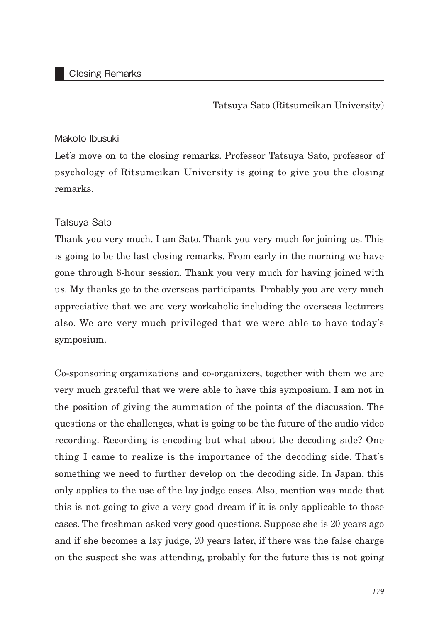## Closing Remarks

Tatsuya Sato (Ritsumeikan University)

## Makoto Ibusuki

Let's move on to the closing remarks. Professor Tatsuya Sato, professor of psychology of Ritsumeikan University is going to give you the closing remarks.

## Tatsuya Sato

Thank you very much. I am Sato. Thank you very much for joining us. This is going to be the last closing remarks. From early in the morning we have gone through 8-hour session. Thank you very much for having joined with us. My thanks go to the overseas participants. Probably you are very much appreciative that we are very workaholic including the overseas lecturers also. We are very much privileged that we were able to have today's symposium.

Co-sponsoring organizations and co-organizers, together with them we are very much grateful that we were able to have this symposium. I am not in the position of giving the summation of the points of the discussion. The questions or the challenges, what is going to be the future of the audio video recording. Recording is encoding but what about the decoding side? One thing I came to realize is the importance of the decoding side. That's something we need to further develop on the decoding side. In Japan, this only applies to the use of the lay judge cases. Also, mention was made that this is not going to give a very good dream if it is only applicable to those cases. The freshman asked very good questions. Suppose she is 20 years ago and if she becomes a lay judge, 20 years later, if there was the false charge on the suspect she was attending, probably for the future this is not going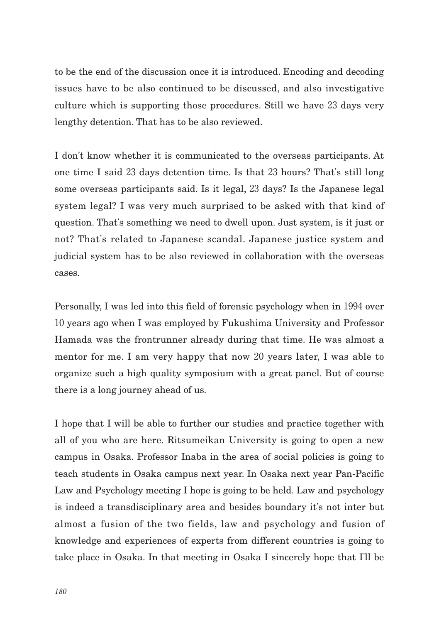to be the end of the discussion once it is introduced. Encoding and decoding issues have to be also continued to be discussed, and also investigative culture which is supporting those procedures. Still we have 23 days very lengthy detention. That has to be also reviewed.

I don't know whether it is communicated to the overseas participants. At one time I said 23 days detention time. Is that 23 hours? That's still long some overseas participants said. Is it legal, 23 days? Is the Japanese legal system legal? I was very much surprised to be asked with that kind of question. That's something we need to dwell upon. Just system, is it just or not? That's related to Japanese scandal. Japanese justice system and judicial system has to be also reviewed in collaboration with the overseas cases.

Personally, I was led into this field of forensic psychology when in 1994 over 10 years ago when I was employed by Fukushima University and Professor Hamada was the frontrunner already during that time. He was almost a mentor for me. I am very happy that now 20 years later, I was able to organize such a high quality symposium with a great panel. But of course there is a long journey ahead of us.

I hope that I will be able to further our studies and practice together with all of you who are here. Ritsumeikan University is going to open a new campus in Osaka. Professor Inaba in the area of social policies is going to teach students in Osaka campus next year. In Osaka next year Pan-Pacific Law and Psychology meeting I hope is going to be held. Law and psychology is indeed a transdisciplinary area and besides boundary it's not inter but almost a fusion of the two fields, law and psychology and fusion of knowledge and experiences of experts from different countries is going to take place in Osaka. In that meeting in Osaka I sincerely hope that I'll be